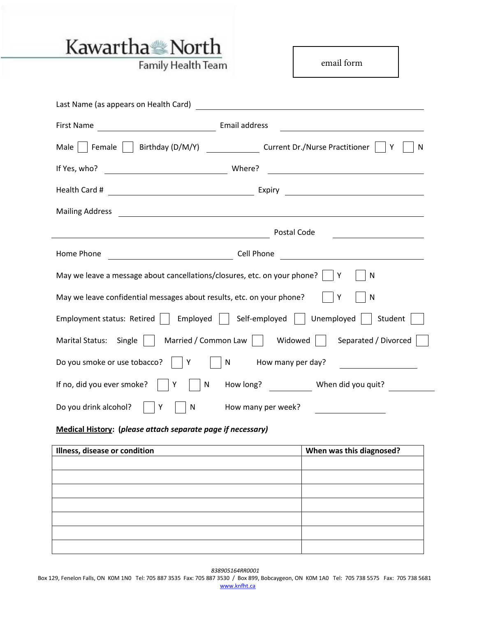

 $\overline{\phantom{0}}$ 

Family Health Team

email form

| Last Name (as appears on Health Card)                                                                                                                                                                                                                                                                                                                                                                                                                                                       |
|---------------------------------------------------------------------------------------------------------------------------------------------------------------------------------------------------------------------------------------------------------------------------------------------------------------------------------------------------------------------------------------------------------------------------------------------------------------------------------------------|
| Email address<br>First Name                                                                                                                                                                                                                                                                                                                                                                                                                                                                 |
| Male     Female     Birthday (D/M/Y) __________________Current Dr./Nurse Practitioner  <br>N                                                                                                                                                                                                                                                                                                                                                                                                |
| If Yes, who?<br>Where?<br><u> 1980 - Johann Stoff, fransk politik (d. 1980)</u>                                                                                                                                                                                                                                                                                                                                                                                                             |
| Expiry <b>Expirition Community Expirition</b>                                                                                                                                                                                                                                                                                                                                                                                                                                               |
| <b>Mailing Address</b><br>$\label{eq:2.1} \frac{1}{\sqrt{2\pi}}\left(\frac{1}{\sqrt{2\pi}}\left(\frac{1}{\sqrt{2\pi}}\right)^{1/2}\right)\left(\frac{1}{\sqrt{2\pi}}\left(\frac{1}{\sqrt{2\pi}}\right)^{1/2}\right)\left(\frac{1}{\sqrt{2\pi}}\right)\left(\frac{1}{\sqrt{2\pi}}\right)\left(\frac{1}{\sqrt{2\pi}}\right)\left(\frac{1}{\sqrt{2\pi}}\right)\left(\frac{1}{\sqrt{2\pi}}\right)\left(\frac{1}{\sqrt{2\pi}}\right)\left(\frac{1}{\sqrt{2\pi}}\right)\left(\frac{1}{\sqrt{2\pi$ |
| Postal Code<br><u> 1989 - Jan Samuel Barbara, martin da shekara 1989 - An tsara 1989 - An tsara 1989 - An tsara 1989 - An tsara </u><br>the control of the control of the control of                                                                                                                                                                                                                                                                                                        |
| Home Phone<br>Cell Phone<br><u> 1989 - Andrea Station Barbara, amerikan per</u>                                                                                                                                                                                                                                                                                                                                                                                                             |
| May we leave a message about cancellations/closures, etc. on your phone? $\vert \ \vert Y$<br>N                                                                                                                                                                                                                                                                                                                                                                                             |
| May we leave confidential messages about results, etc. on your phone?<br>N<br>Y                                                                                                                                                                                                                                                                                                                                                                                                             |
| Employment status: Retired     Employed     Self-employed     Unemployed    <br>Student                                                                                                                                                                                                                                                                                                                                                                                                     |
| Marital Status: Single     Married / Common Law     Widowed     Separated / Divorced                                                                                                                                                                                                                                                                                                                                                                                                        |
| Do you smoke or use tobacco?     Y<br>How many per day?<br>N                                                                                                                                                                                                                                                                                                                                                                                                                                |
| If no, did you ever smoke?<br>${\sf N}$<br>How long? When did you quit?<br>Υ                                                                                                                                                                                                                                                                                                                                                                                                                |
| How many per week?<br>Do you drink alcohol?<br>Y<br>${\sf N}$                                                                                                                                                                                                                                                                                                                                                                                                                               |

## **Medical History: (***please attach separate page if necessary)*

| Illness, disease or condition | When was this diagnosed? |
|-------------------------------|--------------------------|
|                               |                          |
|                               |                          |
|                               |                          |
|                               |                          |
|                               |                          |
|                               |                          |
|                               |                          |

*838905164RR0001*

 Box 129, Fenelon Falls, ON K0M 1N0 Tel: 705 887 3535 Fax: 705 887 3530 / Box 899, Bobcaygeon, ON K0M 1A0 Tel: 705 738 5575 Fax: 705 738 5681 [www.knfht.ca](http://www.knfht.ca/)